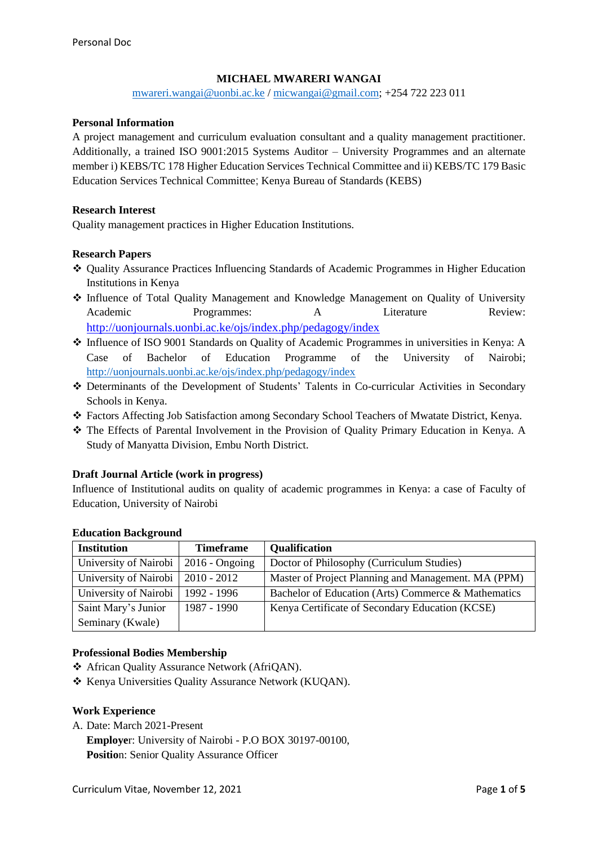## **MICHAEL MWARERI WANGAI**

[mwareri.wangai@uonbi.ac.ke](mailto:mwareri.wangai@uonbi.ac.ke) / [micwangai@gmail.com;](mailto:micwangai@gmail.com) +254 722 223 011

#### **Personal Information**

A project management and curriculum evaluation consultant and a quality management practitioner. Additionally, a trained ISO 9001:2015 Systems Auditor – University Programmes and an alternate member i) KEBS/TC 178 Higher Education Services Technical Committee and ii) KEBS/TC 179 Basic Education Services Technical Committee; Kenya Bureau of Standards (KEBS)

#### **Research Interest**

Quality management practices in Higher Education Institutions.

#### **Research Papers**

- Quality Assurance Practices Influencing Standards of Academic Programmes in Higher Education Institutions in Kenya
- \* Influence of Total Quality Management and Knowledge Management on Quality of University Academic Programmes: A Literature Review: <http://uonjournals.uonbi.ac.ke/ojs/index.php/pedagogy/index>
- Influence of ISO 9001 Standards on Quality of Academic Programmes in universities in Kenya: A Case of Bachelor of Education Programme of the University of Nairobi; <http://uonjournals.uonbi.ac.ke/ojs/index.php/pedagogy/index>
- Determinants of the Development of Students' Talents in Co-curricular Activities in Secondary Schools in Kenya.
- Factors Affecting Job Satisfaction among Secondary School Teachers of Mwatate District, Kenya.
- The Effects of Parental Involvement in the Provision of Quality Primary Education in Kenya. A Study of Manyatta Division, Embu North District.

#### **Draft Journal Article (work in progress)**

Influence of Institutional audits on quality of academic programmes in Kenya: a case of Faculty of Education, University of Nairobi

| <b>Institution</b>    | <b>Timeframe</b>  | Qualification                                       |
|-----------------------|-------------------|-----------------------------------------------------|
| University of Nairobi | $2016 - O$ ngoing | Doctor of Philosophy (Curriculum Studies)           |
| University of Nairobi | $2010 - 2012$     | Master of Project Planning and Management. MA (PPM) |
| University of Nairobi | 1992 - 1996       | Bachelor of Education (Arts) Commerce & Mathematics |
| Saint Mary's Junior   | 1987 - 1990       | Kenya Certificate of Secondary Education (KCSE)     |
| Seminary (Kwale)      |                   |                                                     |

#### **Education Background**

#### **Professional Bodies Membership**

- African Quality Assurance Network (AfriQAN).
- \* Kenya Universities Quality Assurance Network (KUQAN).

## **Work Experience**

- A. Date: March 2021-Present
	- **Employe**r: University of Nairobi P.O BOX 30197-00100,
	- **Positio**n: Senior Quality Assurance Officer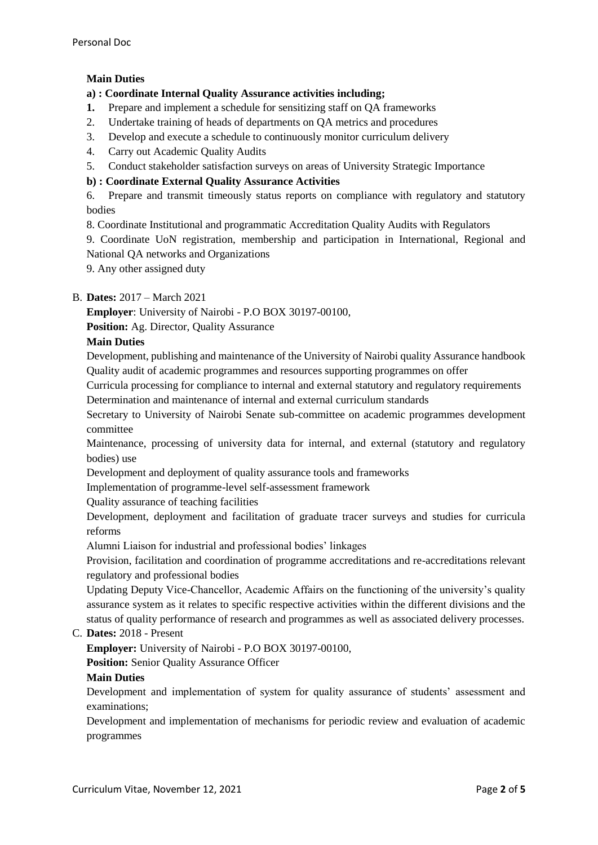# **Main Duties**

## **a) : Coordinate Internal Quality Assurance activities including;**

- **1.** Prepare and implement a schedule for sensitizing staff on QA frameworks
- 2. Undertake training of heads of departments on QA metrics and procedures
- 3. Develop and execute a schedule to continuously monitor curriculum delivery
- 4. Carry out Academic Quality Audits
- 5. Conduct stakeholder satisfaction surveys on areas of University Strategic Importance

## **b) : Coordinate External Quality Assurance Activities**

6. Prepare and transmit timeously status reports on compliance with regulatory and statutory bodies

8. Coordinate Institutional and programmatic Accreditation Quality Audits with Regulators

9. Coordinate UoN registration, membership and participation in International, Regional and National QA networks and Organizations

9. Any other assigned duty

## B. **Dates:** 2017 – March 2021

**Employer**: University of Nairobi - P.O BOX 30197-00100,

**Position:** Ag. Director, Quality Assurance

## **Main Duties**

Development, publishing and maintenance of the University of Nairobi quality Assurance handbook Quality audit of academic programmes and resources supporting programmes on offer

Curricula processing for compliance to internal and external statutory and regulatory requirements Determination and maintenance of internal and external curriculum standards

Secretary to University of Nairobi Senate sub-committee on academic programmes development committee

Maintenance, processing of university data for internal, and external (statutory and regulatory bodies) use

Development and deployment of quality assurance tools and frameworks

Implementation of programme-level self-assessment framework

Quality assurance of teaching facilities

Development, deployment and facilitation of graduate tracer surveys and studies for curricula reforms

Alumni Liaison for industrial and professional bodies' linkages

Provision, facilitation and coordination of programme accreditations and re-accreditations relevant regulatory and professional bodies

Updating Deputy Vice-Chancellor, Academic Affairs on the functioning of the university's quality assurance system as it relates to specific respective activities within the different divisions and the status of quality performance of research and programmes as well as associated delivery processes.

## C. **Dates:** 2018 - Present

**Employer:** University of Nairobi - P.O BOX 30197-00100,

**Position:** Senior Quality Assurance Officer

## **Main Duties**

Development and implementation of system for quality assurance of students' assessment and examinations;

Development and implementation of mechanisms for periodic review and evaluation of academic programmes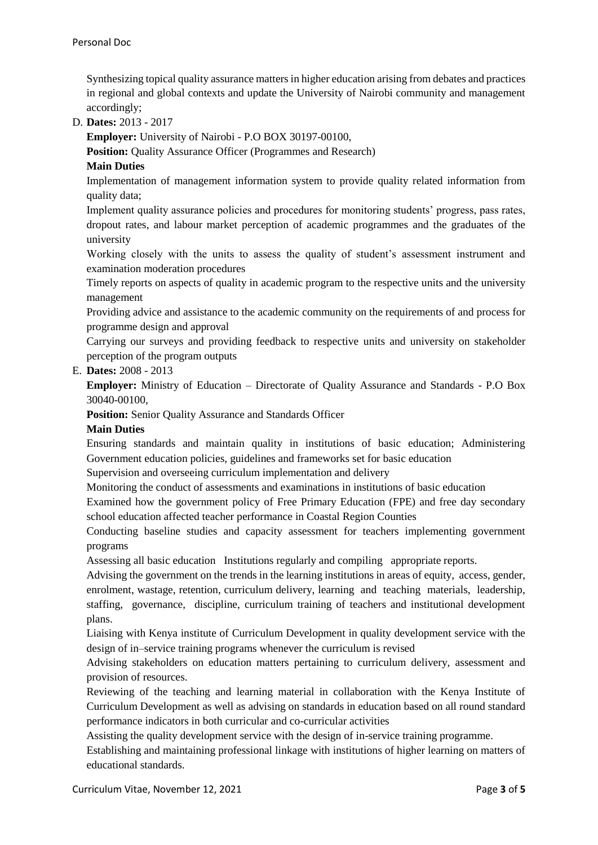Synthesizing topical quality assurance matters in higher education arising from debates and practices in regional and global contexts and update the University of Nairobi community and management accordingly;

# D. **Dates:** 2013 - 2017

**Employer:** University of Nairobi - P.O BOX 30197-00100,

**Position:** Quality Assurance Officer (Programmes and Research)

## **Main Duties**

Implementation of management information system to provide quality related information from quality data;

Implement quality assurance policies and procedures for monitoring students' progress, pass rates, dropout rates, and labour market perception of academic programmes and the graduates of the university

Working closely with the units to assess the quality of student's assessment instrument and examination moderation procedures

Timely reports on aspects of quality in academic program to the respective units and the university management

Providing advice and assistance to the academic community on the requirements of and process for programme design and approval

Carrying our surveys and providing feedback to respective units and university on stakeholder perception of the program outputs

## E. **Dates:** 2008 - 2013

**Employer:** Ministry of Education – Directorate of Quality Assurance and Standards - P.O Box 30040-00100,

**Position:** Senior Quality Assurance and Standards Officer

#### **Main Duties**

Ensuring standards and maintain quality in institutions of basic education; Administering Government education policies, guidelines and frameworks set for basic education

Supervision and overseeing curriculum implementation and delivery

Monitoring the conduct of assessments and examinations in institutions of basic education

Examined how the government policy of Free Primary Education (FPE) and free day secondary school education affected teacher performance in Coastal Region Counties

Conducting baseline studies and capacity assessment for teachers implementing government programs

Assessing all basic education Institutions regularly and compiling appropriate reports.

Advising the government on the trends in the learning institutions in areas of equity, access, gender, enrolment, wastage, retention, curriculum delivery, learning and teaching materials, leadership, staffing, governance, discipline, curriculum training of teachers and institutional development plans.

Liaising with Kenya institute of Curriculum Development in quality development service with the design of in–service training programs whenever the curriculum is revised

Advising stakeholders on education matters pertaining to curriculum delivery, assessment and provision of resources.

Reviewing of the teaching and learning material in collaboration with the Kenya Institute of Curriculum Development as well as advising on standards in education based on all round standard performance indicators in both curricular and co-curricular activities

Assisting the quality development service with the design of in-service training programme.

Establishing and maintaining professional linkage with institutions of higher learning on matters of educational standards.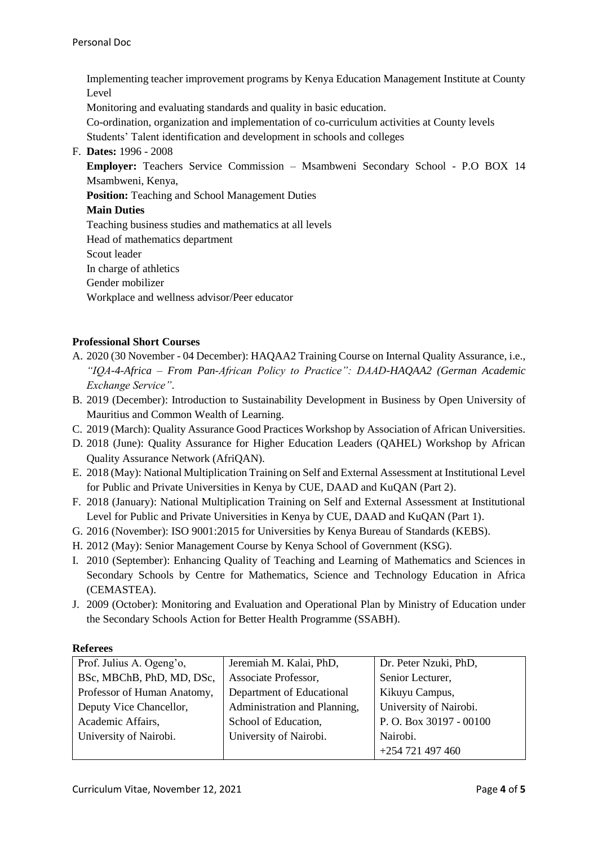Implementing teacher improvement programs by Kenya Education Management Institute at County Level

Monitoring and evaluating standards and quality in basic education.

Co-ordination, organization and implementation of co-curriculum activities at County levels Students' Talent identification and development in schools and colleges

F. **Dates:** 1996 - 2008

**Employer:** Teachers Service Commission – Msambweni Secondary School - P.O BOX 14 Msambweni, Kenya,

**Position:** Teaching and School Management Duties

## **Main Duties**

Teaching business studies and mathematics at all levels

Head of mathematics department

Scout leader

In charge of athletics

Gender mobilizer

Workplace and wellness advisor/Peer educator

## **Professional Short Courses**

- A. 2020 (30 November 04 December): HAQAA2 Training Course on Internal Quality Assurance, i.e., *"IQA-4-Africa – From Pan-African Policy to Practice": DAAD-HAQAA2 (German Academic Exchange Service"*.
- B. 2019 (December): Introduction to Sustainability Development in Business by Open University of Mauritius and Common Wealth of Learning.
- C. 2019 (March): Quality Assurance Good Practices Workshop by Association of African Universities.
- D. 2018 (June): Quality Assurance for Higher Education Leaders (QAHEL) Workshop by African Quality Assurance Network (AfriQAN).
- E. 2018 (May): National Multiplication Training on Self and External Assessment at Institutional Level for Public and Private Universities in Kenya by CUE, DAAD and KuQAN (Part 2).
- F. 2018 (January): National Multiplication Training on Self and External Assessment at Institutional Level for Public and Private Universities in Kenya by CUE, DAAD and KuQAN (Part 1).
- G. 2016 (November): ISO 9001:2015 for Universities by Kenya Bureau of Standards (KEBS).
- H. 2012 (May): Senior Management Course by Kenya School of Government (KSG).
- I. 2010 (September): Enhancing Quality of Teaching and Learning of Mathematics and Sciences in Secondary Schools by Centre for Mathematics, Science and Technology Education in Africa (CEMASTEA).
- J. 2009 (October): Monitoring and Evaluation and Operational Plan by Ministry of Education under the Secondary Schools Action for Better Health Programme (SSABH).

#### **Referees**

| Prof. Julius A. Ogeng'o,    | Jeremiah M. Kalai, PhD,      | Dr. Peter Nzuki, PhD,  |
|-----------------------------|------------------------------|------------------------|
| BSc, MBChB, PhD, MD, DSc,   | Associate Professor,         | Senior Lecturer,       |
| Professor of Human Anatomy, | Department of Educational    | Kikuyu Campus,         |
| Deputy Vice Chancellor,     | Administration and Planning, | University of Nairobi. |
| Academic Affairs,           | School of Education,         | P.O. Box 30197 - 00100 |
| University of Nairobi.      | University of Nairobi.       | Nairobi.               |
|                             |                              | +254 721 497 460       |